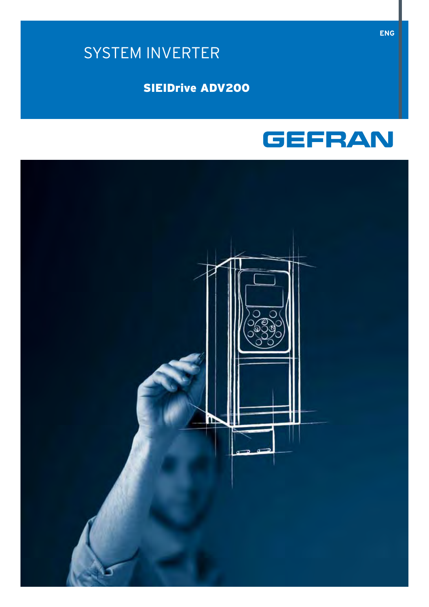# SYSTEM INVERTER

# **SIEIDrive ADV200**



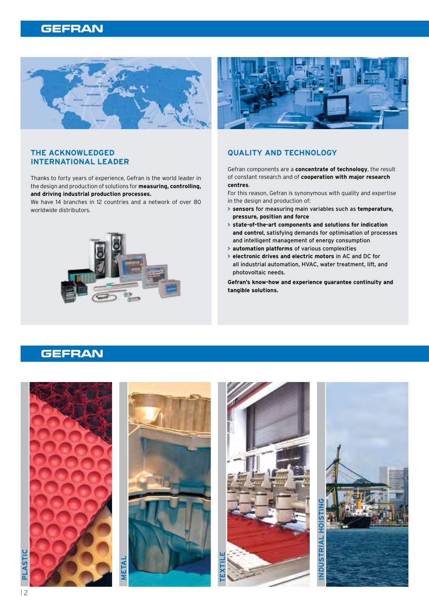

### **THE ACKNOWLEDGED INTERNATIONAL LEADER**

Thanks to forty years of experience, Gefran is the world leader in the design and production of solutions for **measuring, controlling, and driving industrial production processes.**

We have 14 branches in 12 countries and a network of over 80 worldwide distributors.





### **QUALITY AND TECHNOLOG Y**

Gefran components are a **concentrate of technology**, the result of constant research and of **cooperation with major research centres**.

For this reason, Gefran is synonymous with quality and expertise in the design and production of:

- **> sensors** for measuring main variables such as **temperature, pressure, position and force**
- **> state-of-the-art components and solutions for indication and control**, satisfying demands for optimisation of processes and intelligent management of energy consumption
- **> automation platforms** of various complexities
- **> electronic drives and electric motors** in AC and DC for all industrial automation, HVAC, water treatment, lift, and photovoltaic needs.

**Gefran's know-how and experience guarantee continuity and tangible solutions.** 

### **GEFRAN**

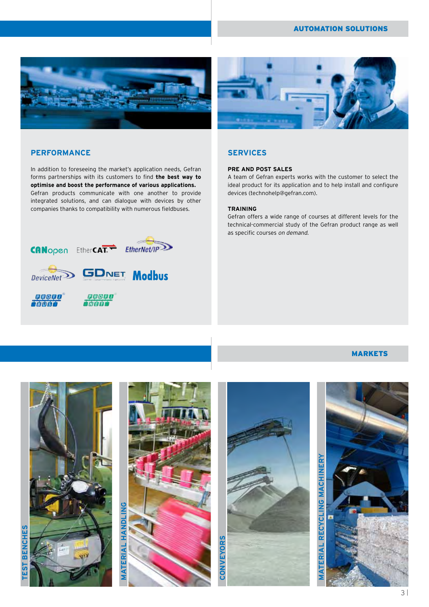### AUTOMATION SOLUTIONS





### **Performance**

In addition to foreseeing the market's application needs, Gefran forms partnerships with its customers to find **the best way to optimise and boost the performance of various applications.** Gefran products communicate with one another to provide integrated solutions, and can dialogue with devices by other companies thanks to compatibility with numerous fieldbuses.



### **SERVICES**

### **PRE AND POST SALES**

A team of Gefran experts works with the customer to select the ideal product for its application and to help install and configure devices (technohelp@gefran.com).

#### **TRAINING**

Gefran offers a wide range of courses at different levels for the technical-commercial study of the Gefran product range as well as specific courses on demand.

### **MARKETS**

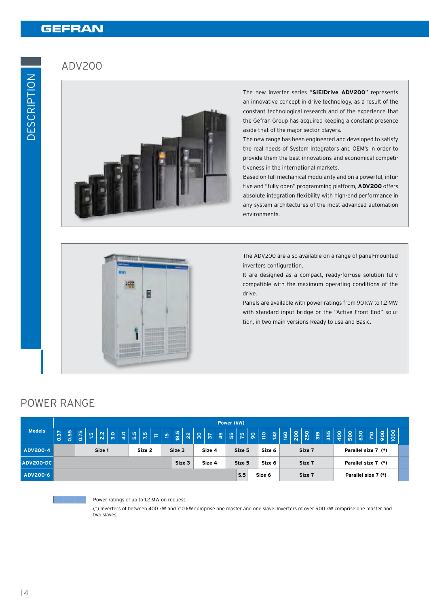### ADV200



The new inverter series "**SIEIDrive ADV 200**" represents an innovative concept in drive technology, as a result of the constant technological research and of the experience that the Gefran Group has acquired keeping a constant presence aside that of the major sector players.

The new range has been engineered and developed to satisfy the real needs of System Integrators and OEM's in order to provide them the best innovations and economical competitiveness in the international markets.

Based on full mechanical modularity and on a powerful, intuitive and "fully open" programming platform, **ADV 200** offers absolute integration flexibility with high-end performance in any system architectures of the most advanced automation environments.



The ADV200 are also available on a range of panel-mounted inverters configuration.

It are designed as a compact, ready-for-use solution fully compatible with the maximum operating conditions of the drive.

Panels are available with power ratings from 90 kW to 1.2 MW with standard input bridge or the "Active Front End" solution, in two main versions Ready to use and Basic.

### Power range

|                 |                  |      |      |                |               | Power (kW)    |                  |  |                  |          |                         |                  |                  |        |      |                |                     |     |  |                     |               |                  |     |        |     |  |                                                                 |                                                                           |  |                |      |  |
|-----------------|------------------|------|------|----------------|---------------|---------------|------------------|--|------------------|----------|-------------------------|------------------|------------------|--------|------|----------------|---------------------|-----|--|---------------------|---------------|------------------|-----|--------|-----|--|-----------------------------------------------------------------|---------------------------------------------------------------------------|--|----------------|------|--|
| <b>Models</b>   | <b>15.0</b>      | 0.55 | 0.75 | $\frac{15}{1}$ | $\frac{2}{3}$ | $\frac{1}{2}$ | $\frac{1}{3}$    |  | 7.5              | $\equiv$ | $\overline{\mathbf{a}}$ | $\frac{18.5}{ }$ | 22               |        | $85$ | $\frac{15}{4}$ | $\frac{5}{5}$       |     |  | $R  S  =$           | $\frac{2}{2}$ | $\overline{160}$ | 200 | 250    | 315 |  | $\begin{array}{c} \hbox{5} \\ \hbox{5} \\ \hbox{8} \end{array}$ | $\left  \begin{smallmatrix} 8\ 6 \end{smallmatrix} \right $ $\frac{9}{5}$ |  | $rac{1}{2000}$ | 1000 |  |
| <b>ADV200-4</b> | Size 2<br>Size 1 |      |      |                |               |               | Size 3<br>Size 4 |  |                  |          | Size 6<br>Size 5        |                  |                  | Size 7 |      |                | Parallel size 7 (*) |     |  |                     |               |                  |     |        |     |  |                                                                 |                                                                           |  |                |      |  |
| ADV200-DC       |                  |      |      |                |               |               |                  |  | Size 3<br>Size 4 |          |                         |                  | Size 6<br>Size 5 |        |      |                | Size 7              |     |  | Parallel size 7 (*) |               |                  |     |        |     |  |                                                                 |                                                                           |  |                |      |  |
| ADV200-6        |                  |      |      |                |               |               |                  |  |                  |          |                         |                  |                  |        |      |                |                     | S.5 |  | Size 6              |               |                  |     | Size 7 |     |  | Parallel size 7 (*)                                             |                                                                           |  |                |      |  |



#### Power ratings of up to 1.2 MW on request.

(\*) Inverters of between 400 kW and 710 kW comprise one master and one slave. Inverters of over 900 kW comprise one master and two slaves.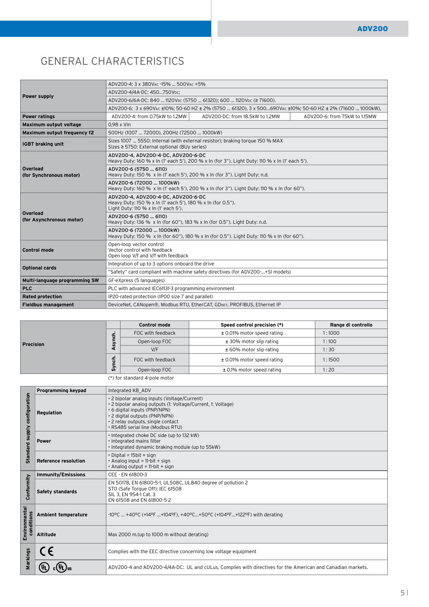# General Characteristics

|                                      | ADV200-4: 3 x 380VAC -15%  500VAC +5%                                                                                                     |  |  |  |  |  |  |  |  |
|--------------------------------------|-------------------------------------------------------------------------------------------------------------------------------------------|--|--|--|--|--|--|--|--|
| Power supply                         | ADV200-4/4A-DC: 450750Vpc:                                                                                                                |  |  |  |  |  |  |  |  |
|                                      | ADV200-6/6A-DC: 840  1120VDC (5750  61320); 600  1120VDC (≥ 71600).                                                                       |  |  |  |  |  |  |  |  |
|                                      | ADV200-6: 3 x 690VAC ±10%; 50-60 HZ ± 2% (5750  61320), 3 x 500690VAC ±10%; 50-60 HZ ± 2% (71600  1000kW),                                |  |  |  |  |  |  |  |  |
| <b>Power ratings</b>                 | ADV200-DC: from 18.5kW to 1.2MW<br>ADV200-4: from 0.75kW to 1.2MW<br>ADV200-6: from 75kW to 1.15MW                                        |  |  |  |  |  |  |  |  |
| Maximum output voltage               | $0.98 \times$ Vin                                                                                                                         |  |  |  |  |  |  |  |  |
| Maximum output frequency f2          | 500Hz (1007  72000), 200Hz (72500  1000kW)                                                                                                |  |  |  |  |  |  |  |  |
| <b>IGBT</b> braking unit             | Sizes 1007  5550: Internal (with external resistor); braking torque 150 % MAX<br>Sizes ≥ 5750: External optional (BUy series)             |  |  |  |  |  |  |  |  |
|                                      | ADV200-4, ADV200-4-DC, ADV200-6-DC<br>Heavy Duty: 160 % x In (1' each 5'), 200 % x In (for 3"). Light Duty: 110 % x In (1' each 5').      |  |  |  |  |  |  |  |  |
| Overload<br>(for Synchronous motor)  | ADV200-6 (5750  6110)<br>Heavy Duty: 150 % x In (1' each 5'), 200 % x In (for 3"). Light Duty: n.d.                                       |  |  |  |  |  |  |  |  |
|                                      | ADV200-6 (72000  1000kW)<br>Heavy Duty: 160 % x In (1' each 5'), 200 % x In (for 3"). Light Duty: 110 % x In (for 60").                   |  |  |  |  |  |  |  |  |
|                                      | ADV200-4, ADV200-4-DC, ADV200-6-DC<br>Heavy Duty: 150 % x In (1' each 5'), 180 % x In (for 0.5").<br>Light Duty: 110 % x In (1' each 5'). |  |  |  |  |  |  |  |  |
| Overload<br>(for Asynchronous motor) | ADV200-6 (5750  6110)<br>Heavy Duty: 136 % x In (for 60"), 183 % x In (for 0.5"). Light Duty: n.d.                                        |  |  |  |  |  |  |  |  |
|                                      | ADV200-6 (72000  1000kW)<br>Heavy Duty: 150 % x In (for 60"), 180 % x In (for 0.5"). Light Duty: 110 % x In (for 60").                    |  |  |  |  |  |  |  |  |
| <b>Control mode</b>                  | Open-loop vector control<br>Vector control with feedback<br>Open loop V/f and V/f with feedback                                           |  |  |  |  |  |  |  |  |
| <b>Optional cards</b>                | Integration of up to 3 options onboard the drive                                                                                          |  |  |  |  |  |  |  |  |
|                                      | "Safety" card compliant with machine safety directives (for ADV200-+SI models)                                                            |  |  |  |  |  |  |  |  |
| Multi-language programming SW        | GF-eXpress (5 languages)                                                                                                                  |  |  |  |  |  |  |  |  |
| <b>PLC</b>                           | PLC with advanced IEC61131-3 programming environment                                                                                      |  |  |  |  |  |  |  |  |
| <b>Rated protection</b>              | IP20-rated protection (IP00 size 7 and parallel)                                                                                          |  |  |  |  |  |  |  |  |
| <b>Fieldbus management</b>           | DeviceNet, CANopen®, Modbus RTU, EtherCAT, GDNET, PROFIBUS, Ethernet IP                                                                   |  |  |  |  |  |  |  |  |

|                               |                | <b>Control mode</b> | Speed control precision (*)   | Range di controllo |  |  |  |  |  |
|-------------------------------|----------------|---------------------|-------------------------------|--------------------|--|--|--|--|--|
|                               | 듕              | FOC with feedback   | ± 0.01% motor speed rating    | 1:1000             |  |  |  |  |  |
| Precision                     | ,<br>m.        | Open-loop FOC       | ± 30% motor slip rating       | 1:100              |  |  |  |  |  |
|                               |                | V/F                 | ± 60% motor slip rating       | 1:30               |  |  |  |  |  |
|                               | $\bullet$<br>듕 | FOC with feedback   | ± 0.01% motor speed rating    | 1:1500             |  |  |  |  |  |
|                               | s,             | Open-loop FOC       | $\pm$ 0.1% motor speed rating | 1:20               |  |  |  |  |  |
| (*) for standard 4-pole motor |                |                     |                               |                    |  |  |  |  |  |

|                             | Programming keypad          | Integrated KB ADV                                                                                                                                                                                                                                    |  |  |  |  |  |  |  |  |
|-----------------------------|-----------------------------|------------------------------------------------------------------------------------------------------------------------------------------------------------------------------------------------------------------------------------------------------|--|--|--|--|--|--|--|--|
| configuration               | Regulation                  | • 2 bipolar analog inputs (Voltage/Current)<br>· 2 bipolar analog outputs (1: Voltage/Current, 1: Voltage)<br>• 6 digital inputs (PNP/NPN)<br>· 2 digital outputs (PNP/NPN)<br>· 2 relay outputs, single contact<br>· RS485 serial line (Modbus RTU) |  |  |  |  |  |  |  |  |
| Standard supply             | <b>Power</b>                | . Integrated choke DC side (up to 132 kW)<br>· Integrated mains filter<br>. Integrated dynamic braking module (up to 55kW)                                                                                                                           |  |  |  |  |  |  |  |  |
|                             | <b>Reference resolution</b> | $\cdot$ Digital = 15bit + sign<br>$\cdot$ Analog input = 11-bit + sign<br>$\cdot$ Analog output = 11-bit + sign                                                                                                                                      |  |  |  |  |  |  |  |  |
|                             | <b>Immunity/Emissions</b>   | CEE - EN 61800-3                                                                                                                                                                                                                                     |  |  |  |  |  |  |  |  |
| Conformity                  | <b>Safety standards</b>     | EN 50178, EN 61800-5-1, UL508C, UL840 degree of pollution 2<br>STO (Safe Torque Off): IEC 61508<br>SIL 3, EN 954-1 Cat. 3<br>EN 61508 and EN 61800-5-2                                                                                               |  |  |  |  |  |  |  |  |
| Environmental<br>conditions | Ambient temperature         | -10°C  +40°C (+14°F +104°F). +40°C+50°C (+104°F+122°F) with derating                                                                                                                                                                                 |  |  |  |  |  |  |  |  |
|                             | Altitude                    | Max 2000 m. (up to 1000 m without derating)                                                                                                                                                                                                          |  |  |  |  |  |  |  |  |
| Markings                    |                             | Complies with the EEC directive concerning low voltage equipment                                                                                                                                                                                     |  |  |  |  |  |  |  |  |
|                             |                             | ADV200-4 and ADV200-4/4A-DC: UL and cULus, Complies with directives for the American and Canadian markets.                                                                                                                                           |  |  |  |  |  |  |  |  |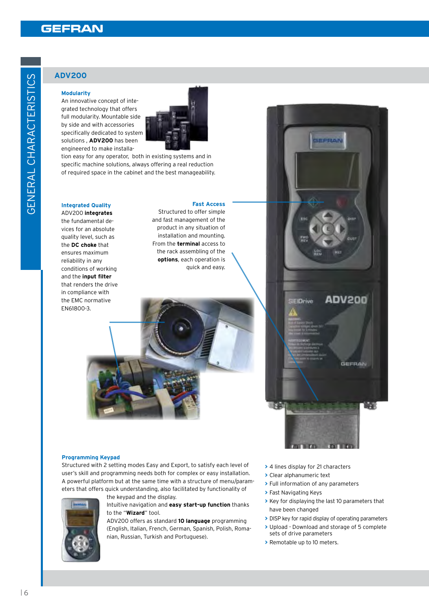### **ADV200**

#### **Modularity**

An innovative concept of integrated technology that offers full modularity. Mountable side by side and with accessories specifically dedicated to system solutions , **ADV200** has been engineered to make installa-



tion easy for any operator, both in existing systems and in specific machine solutions, always offering a real reduction of required space in the cabinet and the best manageability.

#### **Integrated Quality**  ADV 200 **integrates**

the fundamental devices for an absolute quality level, such as the **DC choke** that ensures maximum reliability in any conditions of working and the **input filter** that renders the drive in compliance with the EMC normative EN61800-3.

#### **Fast Access**

Structured to offer simple and fast management of the product in any situation of installation and mounting. From the **terminal** access to the rack assembling of the **options**, each operation is quick and easy.

#### **Programming Keypad**

Structured with 2 setting modes Easy and Export, to satisfy each level of user's skill and programming needs both for complex or easy installation. A powerful platform but at the same time with a structure of menu/parameters that offers quick understanding, also facilitated by functionality of



the keypad and the display.

#### Intuitive navigation and **easy start-up function** thanks to the "**Wizard**" tool.

ADV 200 offers as standard **10 language** programming (English, Italian, French, German, Spanish, Polish, Romanian, Russian, Turkish and Portuguese).

- **>** 4 lines display for 21 characters
- **>** Clear alphanumeric text

**SIEIDrive** 

- **>** Full information of any parameters
- **>** Fast Navigating Keys

œ

**>** Key for displaying the last 10 parameters that have been changed

**ADV200** 

**GEFRAN** 

æ

- **>** DISP key for rapid display of operating parameters
- **>** Upload Download and storage of 5 complete sets of drive parameters
- **>** Remotable up to 10 meters.

ပ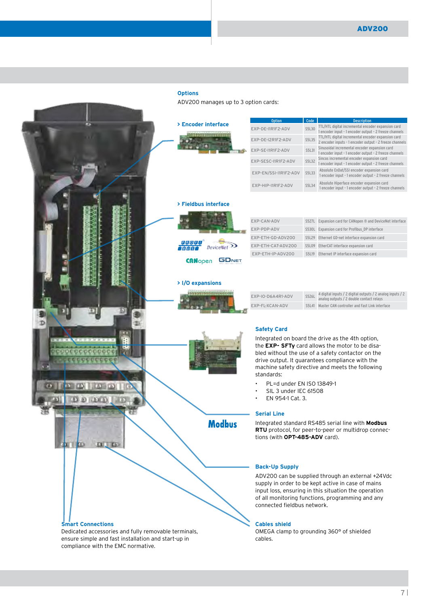#### **Options**

ADV200 manages up to 3 option cards:

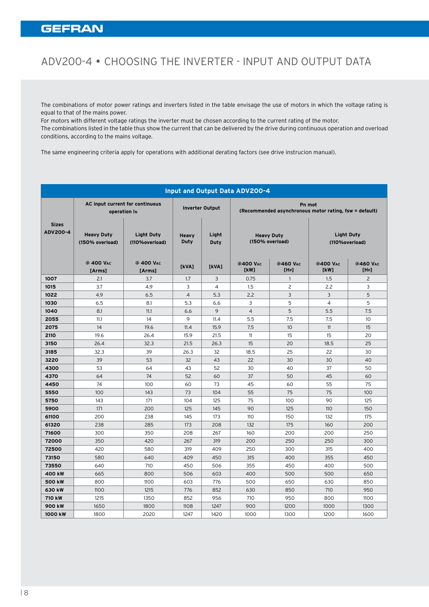# ADV200-4 • Choosing the Inverter - Input and Output Data

The combinations of motor power ratings and inverters listed in the table envisage the use of motors in which the voltage rating is equal to that of the mains power.

For motors with different voltage ratings the inverter must be chosen according to the current rating of the motor. The combinations listed in the table thus show the current that can be delivered by the drive during continuous operation and overload conditions, according to the mains voltage.

The same engineering criteria apply for operations with additional derating factors (see drive instrucion manual).

|                          |                                                 |                                     |                |                        | Input and Output Data ADV200-4 |                                                        |                  |                                     |
|--------------------------|-------------------------------------------------|-------------------------------------|----------------|------------------------|--------------------------------|--------------------------------------------------------|------------------|-------------------------------------|
|                          | AC input current for continuous<br>operation IN |                                     |                | <b>Inverter Output</b> |                                | (Recommended asynchronous motor rating, fsw = default) | Pn mot           |                                     |
| <b>Sizes</b><br>ADV200-4 | <b>Heavy Duty</b><br>(150% overload)            | <b>Light Duty</b><br>(110%overload) | Heavy<br>Duty  | Light<br>Duty          |                                | <b>Heavy Duty</b><br>(150% overload)                   |                  | <b>Light Duty</b><br>(110%overload) |
|                          | @ 400 VAC<br>[Arms]                             | @ 400 VAC<br>[Arms]                 | [kVA]          | [kVA]                  | @400 VAC<br>[kW]               | @460 VAC<br>[HP]                                       | @400 VAC<br>[kW] | @460 VAC<br>[HP]                    |
| 1007                     | 2.1                                             | 3.7                                 | 1.7            | $\overline{3}$         | 0.75                           | $\overline{1}$                                         | 1.5              | $\overline{2}$                      |
| 1015                     | 3.7                                             | 4.9                                 | $\mathbf{3}$   | $\overline{4}$         | 1.5                            | $\overline{2}$                                         | 2.2              | $\mathbf{3}$                        |
| 1022                     | 4.9                                             | 6.5                                 | $\overline{4}$ | 5.3                    | 2.2                            | $\mathbf{3}$                                           | $\mathbf{3}$     | 5                                   |
| 1030                     | 6.5                                             | 8.1                                 | 5.3            | 6.6                    | $\overline{\mathbf{3}}$        | 5                                                      | $\overline{4}$   | 5                                   |
| 1040                     | 8.1                                             | 11.1                                | 6.6            | 9                      | $\overline{4}$                 | 5                                                      | 5.5              | 7.5                                 |
| 2055                     | 11.1                                            | 14                                  | 9              | 11.4                   | 5.5                            | 7.5                                                    | 7.5              | 10                                  |
| 2075                     | 14                                              | 19.6                                | 11.4           | 15.9                   | 7.5                            | 10 <sup>°</sup>                                        | 11               | 15                                  |
| 2110                     | 19.6                                            | 26.4                                | 15.9           | 21.5                   | 11                             | 15                                                     | 15               | 20                                  |
| 3150                     | 26.4                                            | 32.3                                | 21.5           | 26.3                   | 15                             | 20                                                     | 18.5             | 25                                  |
| 3185                     | 32.3                                            | 39                                  | 26.3           | 32                     | 18.5                           | 25                                                     | 22               | 30                                  |
| 3220                     | 39                                              | 53                                  | 32             | 43                     | 22                             | 30                                                     | 30               | 40                                  |
| 4300                     | 53                                              | 64                                  | 43             | 52                     | 30                             | 40                                                     | 37               | 50                                  |
| 4370                     | 64                                              | 74                                  | 52             | 60                     | 37                             | 50                                                     | 45               | 60                                  |
| 4450                     | 74                                              | 100                                 | 60             | 73                     | 45                             | 60                                                     | 55               | 75                                  |
| 5550                     | 100                                             | 143                                 | 73             | 104                    | 55                             | 75                                                     | 75               | 100                                 |
| 5750                     | 143                                             | 171                                 | 104            | 125                    | 75                             | 100                                                    | 90               | 125                                 |
| 5900                     | 171                                             | 200                                 | 125            | 145                    | 90                             | 125                                                    | 110              | 150                                 |
| 61100                    | 200                                             | 238                                 | 145            | 173                    | 110                            | 150                                                    | 132              | 175                                 |
| 61320                    | 238                                             | 285                                 | 173            | 208                    | 132                            | 175                                                    | 160              | 200                                 |
| 71600                    | 300                                             | 350                                 | 208            | 267                    | 160                            | 200                                                    | 200              | 250                                 |
| 72000                    | 350                                             | 420                                 | 267            | 319                    | 200                            | 250                                                    | 250              | 300                                 |
| 72500                    | 420                                             | 580                                 | 319            | 409                    | 250                            | 300                                                    | 315              | 400                                 |
| 73150                    | 580                                             | 640                                 | 409            | 450                    | 315                            | 400                                                    | 355              | 450                                 |
| 73550                    | 640                                             | 710                                 | 450            | 506                    | 355                            | 450                                                    | 400              | 500                                 |
| 400 kW                   | 665                                             | 800                                 | 506            | 603                    | 400                            | 500                                                    | 500              | 650                                 |
| 500 kW                   | 800                                             | 1100                                | 603            | 776                    | 500                            | 650                                                    | 630              | 850                                 |
| 630 kW                   | 1100                                            | 1215                                | 776            | 852                    | 630                            | 850                                                    | 710              | 950                                 |
| 710 kW                   | 1215                                            | 1350                                | 852            | 956                    | 710                            | 950                                                    | 800              | 1100                                |
| 900 kW                   | 1650                                            | 1800                                | 1108           | 1247                   | 900                            | 1200                                                   | 1000             | 1300                                |
| 1000 kW                  | 1800                                            | 2020                                | 1247           | 1420                   | 1000                           | 1300                                                   | 1200             | 1600                                |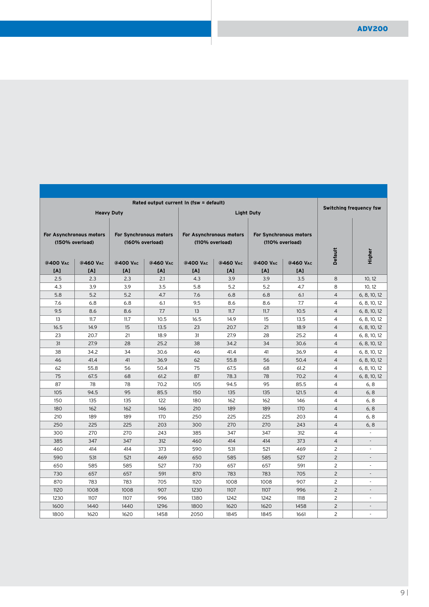| Switching frequency fsw | Rated output current In (fsw = default) |                        |                                            |                 |                 |                        |                   |                                            |
|-------------------------|-----------------------------------------|------------------------|--------------------------------------------|-----------------|-----------------|------------------------|-------------------|--------------------------------------------|
|                         |                                         |                        | <b>Light Duty</b>                          |                 |                 |                        | <b>Heavy Duty</b> |                                            |
| <b>Default</b>          | (110% overload)                         | For Synchronous motors | For Asynchronous motors<br>(110% overload) |                 | (160% overload) | For Synchronous motors |                   | For Asynchronous motors<br>(150% overload) |
|                         | @460 VAC<br>[A]                         | @400 VAC<br>[A]        | @460 VAC<br>[A]                            | @400 VAC<br>[A] | @460 VAC<br>[A] | @400 VAC<br>[A]        | @460 VAC<br>[A]   | @400 VAC<br>[A]                            |
| 8                       | 3.5                                     | 3.9                    | 3.9                                        | 4.3             | 2.1             | 2.3                    | 2.3               | 2.5                                        |
| 8                       | 4.7                                     | 5.2                    | 5.2                                        | 5.8             | 3.5             | 3.9                    | 3.9               | 4.3                                        |
| $\overline{4}$          | 6.1                                     | 6.8                    | 6.8                                        | 7.6             | 4.7             | 5.2                    | 5.2               | 5.8                                        |
| $\overline{4}$          | 7.7                                     | 8.6                    | 8.6                                        | 9.5             | 6.1             | 6.8                    | 6.8               | 7.6                                        |
| $\overline{4}$          | 10.5                                    | 11.7                   | 11.7                                       | 13              | 7.7             | 8.6                    | 8.6               | 9.5                                        |
| $\overline{4}$          | 13.5                                    | 15 <sub>15</sub>       | 14.9                                       | 16.5            | 10.5            | 11.7                   | 11.7              | 13                                         |
| $\overline{4}$          | 18.9                                    | 21                     | 20.7                                       | 23              | 13.5            | 15                     | 14.9              | 16.5                                       |
| $\overline{4}$          | 25.2                                    | 28                     | 27.9                                       | 31              | 18.9            | 21                     | 20.7              | 23                                         |
| $\overline{4}$          | 30.6                                    | 34                     | 34.2                                       | 38              | 25.2            | 28                     | 27.9              | 31                                         |
| $\overline{4}$          | 36.9                                    | 41                     | 41.4                                       | 46              | 30.6            | 34                     | 34.2              | 38                                         |
| $\overline{4}$          | 50.4                                    | 56                     | 55.8                                       | 62              | 36.9            | 41                     | 41.4              | 46                                         |
| $\overline{4}$          | 61.2                                    | 68                     | 67.5                                       | 75              | 50.4            | 56                     | 55.8              | 62                                         |
| $\overline{4}$          | 70.2                                    | 78                     | 78.3                                       | 87              | 61.2            | 68                     | 67.5              | 75                                         |
| $\overline{4}$          | 85.5                                    | 95                     | 94.5                                       | 105             | 70.2            | 78                     | 78                | 87                                         |
| $\overline{4}$          | 121.5                                   | 135                    | 135                                        | 150             | 85.5            | 95                     | 94.5              | 105                                        |
| $\overline{4}$          | 146                                     | 162                    | 162                                        | 180             | 122             | 135                    | 135               | 150                                        |
| $\overline{4}$          | 170                                     | 189                    | 189                                        | 210             | 146             | 162                    | 162               | 180                                        |
| $\overline{4}$          | 203                                     | 225                    | 225                                        | 250             | 170             | 189                    | 189               | 210                                        |
| $\overline{4}$          | 243                                     | 270                    | 270                                        | 300             | 203             | 225                    | 225               | 250                                        |
| $\overline{4}$          | 312                                     | 347                    | 347                                        | 385             | 243             | 270                    | 270               | 300                                        |
| $\overline{4}$          | 373                                     | 414                    | 414                                        | 460             | 312             | 347                    | 347               | 385                                        |
| $\overline{2}$          | 469                                     | 521                    | 531                                        | 590             | 373             | 414                    | 414               | 460                                        |
| $\overline{2}$          | 527                                     | 585                    | 585                                        | 650             | 469             | 521                    | 531               | 590                                        |
| 2                       | 591                                     | 657                    | 657                                        | 730             | 527             | 585                    | 585               | 650                                        |
| $\overline{2}$          | 705                                     | 783                    | 783                                        | 870             | 591             | 657                    | 657               | 730                                        |
| $\overline{2}$          | 907                                     | 1008                   | 1008                                       | 1120            | 705             | 783                    | 783               | 870                                        |
| $\overline{2}$          | 996                                     | 1107                   | 1107                                       | 1230            | 907             | 1008                   | 1008              | 1120                                       |
| 2                       | 1118                                    | 1242                   | 1242                                       | 1380            | 996             | 1107                   | 1107              | 1230                                       |
|                         |                                         |                        |                                            |                 |                 |                        |                   |                                            |
| $\overline{2}$          | 1458                                    | 1620                   | 1620                                       | 1800            | 1296            | 1440                   | 1440              | 1600                                       |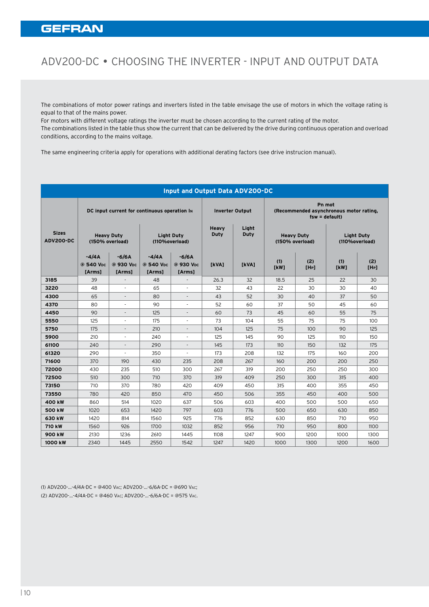# ADV200-DC • Choosing the Inverter - Input and Output Data

The combinations of motor power ratings and inverters listed in the table envisage the use of motors in which the voltage rating is equal to that of the mains power.

For motors with different voltage ratings the inverter must be chosen according to the current rating of the motor. The combinations listed in the table thus show the current that can be delivered by the drive during continuous operation and overload conditions, according to the mains voltage.

The same engineering criteria apply for operations with additional derating factors (see drive instrucion manual).

|                                  |                                              |                                |                                | Input and Output Data ADV200-DC |               |                        |             |                                                                                                                                                                                                                                                                                                                                                                                                                                                                                                                                                                                                                                                                                                                                                                                                                |                                                                      |                                     |
|----------------------------------|----------------------------------------------|--------------------------------|--------------------------------|---------------------------------|---------------|------------------------|-------------|----------------------------------------------------------------------------------------------------------------------------------------------------------------------------------------------------------------------------------------------------------------------------------------------------------------------------------------------------------------------------------------------------------------------------------------------------------------------------------------------------------------------------------------------------------------------------------------------------------------------------------------------------------------------------------------------------------------------------------------------------------------------------------------------------------------|----------------------------------------------------------------------|-------------------------------------|
|                                  | DC input current for continuous operation In |                                |                                |                                 |               | <b>Inverter Output</b> |             |                                                                                                                                                                                                                                                                                                                                                                                                                                                                                                                                                                                                                                                                                                                                                                                                                | Pn mot<br>(Recommended asynchronous motor rating,<br>$fsw = default$ |                                     |
| <b>Sizes</b><br><b>ADV200-DC</b> | <b>Heavy Duty</b><br>(150% overload)         |                                | (110%overload)                 | <b>Light Duty</b>               | Heavy<br>Duty | Light<br>Duty          |             | <b>Heavy Duty</b><br>(150% overload)                                                                                                                                                                                                                                                                                                                                                                                                                                                                                                                                                                                                                                                                                                                                                                           |                                                                      | <b>Light Duty</b><br>(110%overload) |
|                                  | $-4/4A$<br>@ 540 Vpc<br>[Arms]               | $-6/6A$<br>@ 930 Vpc<br>[Arms] | $-4/4A$<br>@ 540 Vpc<br>[Arms] | $-6/6A$<br>@ 930 Vpc<br>[Arms]  | [kVA]         | [kVA]                  | (1)<br>[kW] | (2)<br>$[HP] \centering% \includegraphics[width=1.8\columnwidth]{Figures/11.png} \caption{The 3D (blue) and 4D (blue) are the same as a function of the left (blue) and the right (blue) are the same as a function of the right (blue) and the right (blue) are the same as a function of the right (blue) and the right (blue) are the same as a function of the right (blue). The right (blue) is the same as a function of the right (blue). The right (blue) is the same as a function of the right (blue). The right (blue) is the same as a function of the right (blue). The right (blue) is the same as a function of the right (blue). The right (blue) is the same as a function of the right (blue). The right (blue) is the same as a function of the right (blue). The right (blue) is the same$ | (1)<br>[kW]                                                          | (2)<br>[HP]                         |
| 3185                             | 39                                           | $\sim$                         | 48                             | $\sim$                          | 26.3          | 32                     | 18.5        | 25                                                                                                                                                                                                                                                                                                                                                                                                                                                                                                                                                                                                                                                                                                                                                                                                             | 22                                                                   | 30 <sup>°</sup>                     |
| 3220                             | 48                                           | $\sim$ $-$                     | 65                             | $\sim$                          | 32            | 43                     | 22          | 30                                                                                                                                                                                                                                                                                                                                                                                                                                                                                                                                                                                                                                                                                                                                                                                                             | 30                                                                   | 40                                  |
| 4300                             | 65                                           | $\sim$                         | 80                             | $\sim$ $-$                      | 43            | 52                     | 30          | 40                                                                                                                                                                                                                                                                                                                                                                                                                                                                                                                                                                                                                                                                                                                                                                                                             | 37                                                                   | 50                                  |
| 4370                             | 80                                           | $\sim$                         | 90                             | $\sim$                          | 52            | 60                     | 37          | 50                                                                                                                                                                                                                                                                                                                                                                                                                                                                                                                                                                                                                                                                                                                                                                                                             | 45                                                                   | 60                                  |
| 4450                             | 90                                           | $\sim$                         | 125                            | $\sim$ 100 $\pm$                | 60            | 73                     | 45          | 60                                                                                                                                                                                                                                                                                                                                                                                                                                                                                                                                                                                                                                                                                                                                                                                                             | 55                                                                   | 75                                  |
| 5550                             | 125                                          | $\sim$                         | 175                            | $\sim$ 10 $\pm$                 | 73            | 104                    | 55          | 75                                                                                                                                                                                                                                                                                                                                                                                                                                                                                                                                                                                                                                                                                                                                                                                                             | 75                                                                   | 100                                 |
| 5750                             | 175                                          | $\sim$                         | 210                            | $\sim$ $-$                      | 104           | 125                    | 75          | 100                                                                                                                                                                                                                                                                                                                                                                                                                                                                                                                                                                                                                                                                                                                                                                                                            | 90                                                                   | 125                                 |
| 5900                             | 210                                          | $\sim$                         | 240                            | $\sim$                          | 125           | 145                    | 90          | 125                                                                                                                                                                                                                                                                                                                                                                                                                                                                                                                                                                                                                                                                                                                                                                                                            | 110                                                                  | 150                                 |
| 61100                            | 240                                          | $\sim$ $-$                     | 290                            | $\sim$ $-$                      | 145           | 173                    | 110         | 150                                                                                                                                                                                                                                                                                                                                                                                                                                                                                                                                                                                                                                                                                                                                                                                                            | 132                                                                  | 175                                 |
| 61320                            | 290                                          | $\sim$ 10 $\pm$                | 350                            | $\sim$                          | 173           | 208                    | 132         | 175                                                                                                                                                                                                                                                                                                                                                                                                                                                                                                                                                                                                                                                                                                                                                                                                            | 160                                                                  | 200                                 |
| 71600                            | 370                                          | 190                            | 430                            | 235                             | 208           | 267                    | 160         | 200                                                                                                                                                                                                                                                                                                                                                                                                                                                                                                                                                                                                                                                                                                                                                                                                            | 200                                                                  | 250                                 |
| 72000                            | 430                                          | 235                            | 510                            | 300                             | 267           | 319                    | 200         | 250                                                                                                                                                                                                                                                                                                                                                                                                                                                                                                                                                                                                                                                                                                                                                                                                            | 250                                                                  | 300                                 |
| 72500                            | 510                                          | 300                            | 710                            | 370                             | 319           | 409                    | 250         | 300                                                                                                                                                                                                                                                                                                                                                                                                                                                                                                                                                                                                                                                                                                                                                                                                            | 315                                                                  | 400                                 |
| 73150                            | 710                                          | 370                            | 780                            | 420                             | 409           | 450                    | 315         | 400                                                                                                                                                                                                                                                                                                                                                                                                                                                                                                                                                                                                                                                                                                                                                                                                            | 355                                                                  | 450                                 |
| 73550                            | 780                                          | 420                            | 850                            | 470                             | 450           | 506                    | 355         | 450                                                                                                                                                                                                                                                                                                                                                                                                                                                                                                                                                                                                                                                                                                                                                                                                            | 400                                                                  | 500                                 |
| 400 kW                           | 860                                          | 514                            | 1020                           | 637                             | 506           | 603                    | 400         | 500                                                                                                                                                                                                                                                                                                                                                                                                                                                                                                                                                                                                                                                                                                                                                                                                            | 500                                                                  | 650                                 |
| 500 kW                           | 1020                                         | 653                            | 1420                           | 797                             | 603           | 776                    | 500         | 650                                                                                                                                                                                                                                                                                                                                                                                                                                                                                                                                                                                                                                                                                                                                                                                                            | 630                                                                  | 850                                 |
| 630 kW                           | 1420                                         | 814                            | 1560                           | 925                             | 776           | 852                    | 630         | 850                                                                                                                                                                                                                                                                                                                                                                                                                                                                                                                                                                                                                                                                                                                                                                                                            | 710                                                                  | 950                                 |
| 710 kW                           | 1560                                         | 926                            | 1700                           | 1032                            | 852           | 956                    | 710         | 950                                                                                                                                                                                                                                                                                                                                                                                                                                                                                                                                                                                                                                                                                                                                                                                                            | 800                                                                  | 1100                                |
| 900 kW                           | 2130                                         | 1236                           | 2610                           | 1445                            | 1108          | 1247                   | 900         | 1200                                                                                                                                                                                                                                                                                                                                                                                                                                                                                                                                                                                                                                                                                                                                                                                                           | 1000                                                                 | 1300                                |
| 1000 kW                          | 2340                                         | 1445                           | 2550                           | 1542                            | 1247          | 1420                   | 1000        | 1300                                                                                                                                                                                                                                                                                                                                                                                                                                                                                                                                                                                                                                                                                                                                                                                                           | 1200                                                                 | 1600                                |

(1) ADV200-...-4/4A-DC = @400 Vac; ADV200-...-6/6A-DC = @690 Vac; (2) ADV200-...-4/4A-DC = @460 Vac; ADV200-...-6/6A-DC = @575 Vac.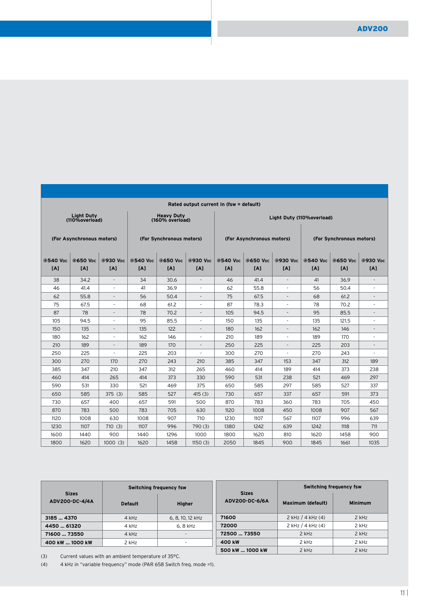| Rated output current In (fsw = default)                                                                                                             |                          |
|-----------------------------------------------------------------------------------------------------------------------------------------------------|--------------------------|
| Light Duty<br>(110%overload)<br>Heavy Duty<br>(160% overload)<br>Light Duty (110%overload)                                                          |                          |
| (For Asynchronous motors)<br>(For Asynchronous motors)<br>(For Synchronous motors)                                                                  | (For Synchronous motors) |
| @650 Vdc   @930 Vdc   @540 Vdc   @650 Vdc   @930 Vdc  <br>  @540 Vpc   @650 Vpc   @930 Vpc   @540 Vpc   @650 Vpc   @930 Vpc<br>@540 V <sub>DC</sub> |                          |
| [A]<br>[A]<br>[A]<br>[A]<br>[A]<br>[A]<br>[A]<br>[ <b>A</b> ]<br>[A]<br>[A]                                                                         | [A]<br>[ <b>A</b> ]      |
| 38<br>34<br>30.6<br>34.2<br>46<br>41.4<br>41<br>$\sim$<br>$\sim$<br>$\sim$                                                                          | 36.9<br>$\sim$ 100 $\pm$ |
| 46<br>36.9<br>55.8<br>56<br>41.4<br>41<br>62<br>$\sim 100$<br>$\sim$<br>$\sim$                                                                      | 50.4<br>$\sim$           |
| 62<br>55.8<br>56<br>50.4<br>75<br>67.5<br>68<br>$\sim$<br>$\sim$ $-$<br>$\sim$                                                                      | 61.2<br>$\sim$           |
| 75<br>68<br>87<br>78.3<br>78<br>67.5<br>61.2<br>$\sim$<br>$\sim$<br>$\sim$                                                                          | 70.2<br>$\sim$           |
| 87<br>78<br>95<br>78<br>70.2<br>105<br>94.5<br>$\sim$<br>$\sim$<br>$\sim$                                                                           | 85.5<br>$\sim$           |
| 105<br>95<br>85.5<br>150<br>135<br>135<br>94.5<br>$\sim$<br>$\sim$ 10 $\pm$<br>$\sim$                                                               | 121.5<br>$\sim$          |
| 150<br>135<br>135<br>122<br>162<br>162<br>180<br>$\sim$<br>$\sim$<br>$\sim$                                                                         | 146<br>$\sim$ 100 $\pm$  |
| 180<br>162<br>162<br>189<br>189<br>146<br>210<br>$\sim$<br>$\sim$<br>$\sim$ $-$                                                                     | 170<br>$\sim$            |
| 189<br>189<br>210<br>170<br>250<br>225<br>225<br>$\sim$<br>$\sim$<br>$\sim$                                                                         | 203<br>$\sim$            |
| 250<br>225<br>225<br>203<br>300<br>270<br>270<br>$\sim$ 10 $\pm$<br>$\sim$<br>$\sim$                                                                | 243<br>$\sim$            |
| 300<br>270<br>170<br>270<br>210<br>347<br>153<br>347<br>243<br>385                                                                                  | 189<br>312               |
| 385<br>189<br>347<br>210<br>347<br>312<br>265<br>460<br>414<br>414                                                                                  | 238<br>373               |
| 373<br>238<br>460<br>265<br>330<br>590<br>531<br>521<br>414<br>414                                                                                  | 297<br>469               |
| 590<br>531<br>330<br>521<br>469<br>375<br>650<br>585<br>297<br>585                                                                                  | 527<br>337               |
| 650<br>585<br>585<br>527<br>730<br>657<br>337<br>657<br>375(3)<br>415(3)                                                                            | 373<br>591               |
| 730<br>657<br>657<br>591<br>500<br>783<br>360<br>783<br>400<br>870                                                                                  | 705<br>450               |
| 870<br>783<br>500<br>783<br>705<br>630<br>1120<br>1008<br>450<br>1008                                                                               | 907<br>567               |
| 1120<br>1008<br>907<br>1230<br>567<br>1107<br>1008<br>630<br>710<br>1107                                                                            | 996<br>639               |
| 1230<br>1107<br>1107<br>996<br>790(3)<br>1380<br>1242<br>639<br>1242<br>710(3)                                                                      | 1118<br>711              |
| 1600<br>1440<br>1440<br>900<br>1296<br>1000<br>1800<br>1620<br>810<br>1620                                                                          | 1458<br>900              |
| 1800<br>1620<br>1458<br>2050<br>1845<br>900<br>1845<br>1620<br>1000(3)<br>1150(3)                                                                   | 1035<br>1661             |

|                                |                | Switching frequency fsw |                                | Switching frequency fsw |                |  |  |  |
|--------------------------------|----------------|-------------------------|--------------------------------|-------------------------|----------------|--|--|--|
| <b>Sizes</b><br>ADV200-DC-4/4A | <b>Default</b> | <b>Higher</b>           | <b>Sizes</b><br>ADV200-DC-6/6A | Maximum (default)       | <b>Minimum</b> |  |  |  |
| 3185  4370                     | $4$ kHz        | 6, 8, 10, 12 kHz        | 71600                          | $2$ kHz $/$ 4 kHz $(4)$ | $2$ kHz        |  |  |  |
| 4450  61320                    | 4 kHz          | 6.8 kHz                 | 72000                          | $2$ kHz $/$ 4 kHz $(4)$ | $2$ kHz        |  |  |  |
| 71600  73550                   | 4 kHz          | $\sim$                  | 72500  73550                   | $2$ kHz                 | $2$ kHz        |  |  |  |
| 400 kW  1000 kW                | 2 kHz          | ۰                       | 400 kW                         | 2 kHz                   | $2$ kHz        |  |  |  |
|                                |                |                         | 500 kW  1000 kW                | $2$ kHz                 | 2 kHz          |  |  |  |

(3) Current values with an ambient temperature of 35°C.

(4) 4 kHz in "variable frequency" mode (PAR 658 Switch freq. mode =1).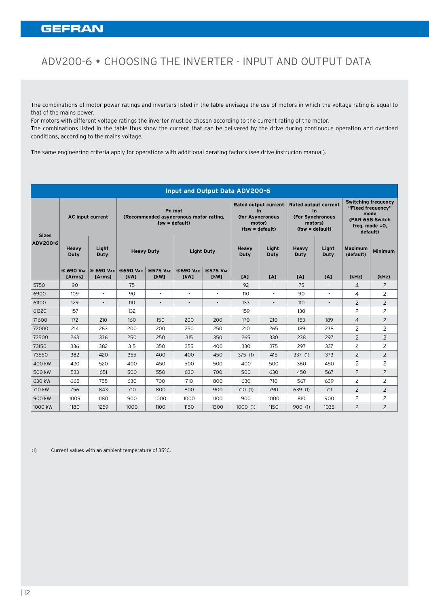# ADV200-6 • Choosing the Inverter - Input and Output Data

The combinations of motor power ratings and inverters listed in the table envisage the use of motors in which the voltage rating is equal to that of the mains power.

For motors with different voltage ratings the inverter must be chosen according to the current rating of the motor. The combinations listed in the table thus show the current that can be delivered by the drive during continuous operation and overload conditions, according to the mains voltage.

The same engineering criteria apply for operations with additional derating factors (see drive instrucion manual).

|                                 |                                |                               |                   |                           | Input and Output Data ADV200-6         |                          |                                                                                  |                          |                                                                                          |                |                                                                                                          |                |
|---------------------------------|--------------------------------|-------------------------------|-------------------|---------------------------|----------------------------------------|--------------------------|----------------------------------------------------------------------------------|--------------------------|------------------------------------------------------------------------------------------|----------------|----------------------------------------------------------------------------------------------------------|----------------|
| <b>Sizes</b><br><b>ADV200-6</b> | <b>AC input current</b>        |                               |                   | Pn mot<br>$fsw = default$ | (Recommended asyncronous motor rating, |                          | Rated output current<br>$\ln$<br>(for Asyncronous<br>motor)<br>$(fsw = default)$ |                          | <b>Rated output current</b><br>$\ln$<br>(For Synchronous<br>motors)<br>$(fsw = default)$ |                | <b>Switching frequency</b><br>"Fixed frequency"<br>mode<br>(PAR 658 Switch<br>freq. mode =0,<br>default) |                |
|                                 | Heavy<br>Light<br>Duty<br>Duty |                               | <b>Heavy Duty</b> |                           | <b>Light Duty</b>                      |                          | <b>Heavy</b><br>Duty                                                             | Light<br>Duty            | <b>Heavy</b><br>Duty                                                                     | Liaht<br>Duty  | <b>Maximum</b><br>(default)                                                                              | <b>Minimum</b> |
|                                 | [Arms]                         | @ 690 VAC @ 690 VAC<br>[Arms] | @690 VAC<br>[kW]  | @575 VAC<br>[kW]          | @690 VAC<br>[kW]                       | @575 VAC<br>[kW]         | [A]                                                                              | [A]                      | [A]                                                                                      | [A]            | (kHz)                                                                                                    | (kHz)          |
| 5750                            | 90                             |                               | 75                |                           | $\overline{\phantom{a}}$               | $\blacksquare$           | 92                                                                               |                          | 75                                                                                       |                | $\overline{4}$                                                                                           | 2              |
| 6900                            | 109                            | $\blacksquare$                | 90                | $\overline{\phantom{a}}$  | $\overline{a}$                         | $\sim$                   | 110                                                                              | $\overline{\phantom{a}}$ | 90                                                                                       | ٠              | 4                                                                                                        | 2              |
| 61100                           | 129                            | $\overline{\phantom{a}}$      | 110               | $\sim$                    |                                        | $\overline{\phantom{0}}$ | 133                                                                              | $\blacksquare$           | 110                                                                                      |                | $\overline{2}$                                                                                           | $\overline{c}$ |
| 61320                           | 157                            | $\sim$                        | 132               | $\sim$                    | $\overline{\phantom{a}}$               | $\blacksquare$           | 159                                                                              | $\overline{\phantom{a}}$ | 130                                                                                      | $\blacksquare$ | $\overline{c}$                                                                                           | 2              |
| 71600                           | 172                            | 210                           | 160               | 150                       | 200                                    | 200                      | 170                                                                              | 210                      | 153                                                                                      | 189            | $\overline{4}$                                                                                           | $\overline{2}$ |
| 72000                           | 214                            | 263                           | 200               | 200                       | 250                                    | 250                      | 210                                                                              | 265                      | 189                                                                                      | 238            | $\overline{c}$                                                                                           | 2              |
| 72500                           | 263                            | 336                           | 250               | 250                       | 315                                    | 350                      | 265                                                                              | 330                      | 238                                                                                      | 297            | $\overline{2}$                                                                                           | $\overline{2}$ |
| 73150                           | 336                            | 382                           | 315               | 350                       | 355                                    | 400                      | 330                                                                              | 375                      | 297                                                                                      | 337            | $\overline{c}$                                                                                           | 2              |
| 73550                           | 382                            | 420                           | 355               | 400                       | 400                                    | 450                      | 375(1)                                                                           | 415                      | 337 (1)                                                                                  | 373            | $\overline{2}$                                                                                           | $\overline{c}$ |
| 400 kW                          | 420                            | 520                           | 400               | 450                       | 500                                    | 500                      | 400                                                                              | 500                      | 360                                                                                      | 450            | $\overline{c}$                                                                                           | 2              |
| 500 kW                          | 533                            | 651                           | 500               | 550                       | 630                                    | 700                      | 500                                                                              | 630                      | 450                                                                                      | 567            | $\overline{2}$                                                                                           | $\overline{2}$ |
| 630 kW                          | 665                            | 755                           | 630               | 700                       | 710                                    | 800                      | 630                                                                              | 710                      | 567                                                                                      | 639            | $\overline{2}$                                                                                           | 2              |
| 710 kW                          | 756                            | 843                           | 710               | 800                       | 800                                    | 900                      | 710(1)                                                                           | 790                      | 639(1)                                                                                   | 711            | $\overline{2}$                                                                                           | 2              |
| 900 kW                          | 1009                           | 1180                          | 900               | 1000                      | 1000                                   | 1100                     | 900                                                                              | 1000                     | 810                                                                                      | 900            | $\overline{c}$                                                                                           | 2              |
| 1000 kW                         | 1180                           | 1259                          | 1000              | 1100                      | 1150                                   | 1300                     | 1000(1)                                                                          | 1150                     | 900(1)                                                                                   | 1035           | $\overline{c}$                                                                                           | $\overline{2}$ |

(1) Current values with an ambient temperature of 35°C.